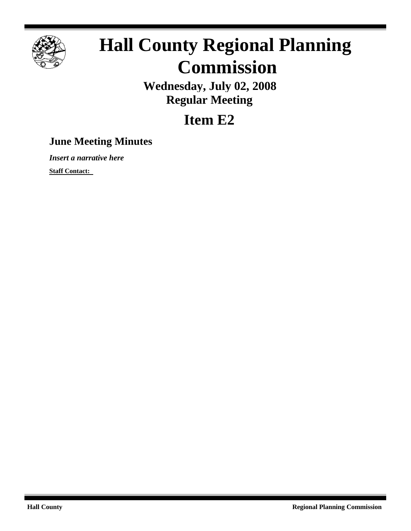

# **Hall County Regional Planning Commission**

**Wednesday, July 02, 2008 Regular Meeting**

## **Item E2**

### **June Meeting Minutes**

*Insert a narrative here*

**Staff Contact:**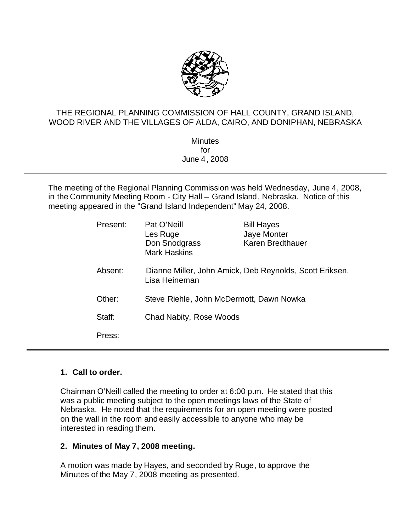

#### THE REGIONAL PLANNING COMMISSION OF HALL COUNTY, GRAND ISLAND, WOOD RIVER AND THE VILLAGES OF ALDA, CAIRO, AND DONIPHAN, NEBRASKA

**Minutes** for June 4, 2008

The meeting of the Regional Planning Commission was held Wednesday, June 4, 2008, in the Community Meeting Room - City Hall – Grand Island, Nebraska. Notice of this meeting appeared in the "Grand Island Independent" May 24, 2008.

| Present: | Pat O'Neill<br>Les Ruge<br>Don Snodgrass<br><b>Mark Haskins</b>          | <b>Bill Hayes</b><br>Jaye Monter<br>Karen Bredthauer |
|----------|--------------------------------------------------------------------------|------------------------------------------------------|
| Absent:  | Dianne Miller, John Amick, Deb Reynolds, Scott Eriksen,<br>Lisa Heineman |                                                      |
| Other:   | Steve Riehle, John McDermott, Dawn Nowka                                 |                                                      |
| Staff:   | Chad Nabity, Rose Woods                                                  |                                                      |
| Press:   |                                                                          |                                                      |

#### **1. Call to order.**

Chairman O'Neill called the meeting to order at 6:00 p.m. He stated that this was a public meeting subject to the open meetings laws of the State of Nebraska. He noted that the requirements for an open meeting were posted on the wall in the room and easily accessible to anyone who may be interested in reading them.

#### **2. Minutes of May 7, 2008 meeting.**

A motion was made by Hayes, and seconded by Ruge, to approve the Minutes of the May 7, 2008 meeting as presented.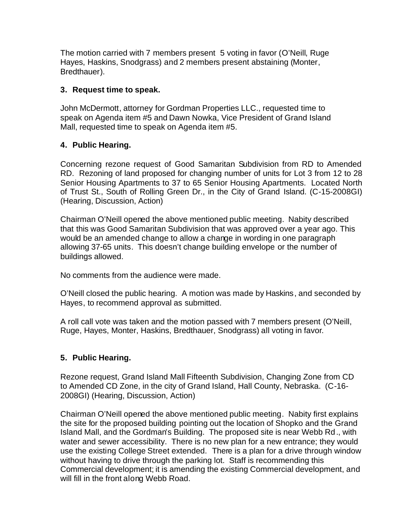The motion carried with 7 members present 5 voting in favor (O'Neill, Ruge Hayes, Haskins, Snodgrass) and 2 members present abstaining (Monter, Bredthauer).

#### **3. Request time to speak.**

John McDermott, attorney for Gordman Properties LLC., requested time to speak on Agenda item #5 and Dawn Nowka, Vice President of Grand Island Mall, requested time to speak on Agenda item #5.

#### **4. Public Hearing.**

Concerning rezone request of Good Samaritan Subdivision from RD to Amended RD. Rezoning of land proposed for changing number of units for Lot 3 from 12 to 28 Senior Housing Apartments to 37 to 65 Senior Housing Apartments. Located North of Trust St., South of Rolling Green Dr., in the City of Grand Island. (C-15-2008GI) (Hearing, Discussion, Action)

Chairman O'Neill opened the above mentioned public meeting.Nabity described that this was Good Samaritan Subdivision that was approved over a year ago. This would be an amended change to allow a change in wording in one paragraph allowing 37-65 units. This doesn't change building envelope or the number of buildings allowed.

No comments from the audience were made.

O'Neill closed the public hearing. A motion was made by Haskins, and seconded by Hayes, to recommend approval as submitted.

A roll call vote was taken and the motion passed with 7 members present (O'Neill, Ruge, Hayes, Monter, Haskins, Bredthauer, Snodgrass) all voting in favor.

#### **5. Public Hearing.**

Rezone request, Grand Island Mall Fifteenth Subdivision, Changing Zone from CD to Amended CD Zone, in the city of Grand Island, Hall County, Nebraska. (C-16- 2008GI) (Hearing, Discussion, Action)

Chairman O'Neill opened the above mentioned public meeting. Nabity first explains the site for the proposed building pointing out the location of Shopko and the Grand Island Mall, and the Gordman's Building. The proposed site is near Webb Rd., with water and sewer accessibility. There is no new plan for a new entrance; they would use the existing College Street extended. There is a plan for a drive through window without having to drive through the parking lot. Staff is recommending this Commercial development; it is amending the existing Commercial development, and will fill in the front along Webb Road.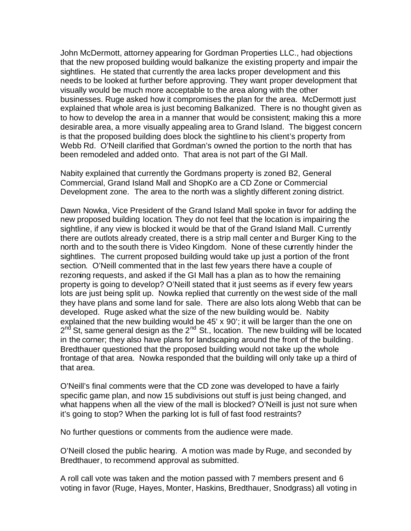John McDermott, attorney appearing for Gordman Properties LLC., had objections that the new proposed building would balkanize the existing property and impair the sightlines. He stated that currently the area lacks proper development and this needs to be looked at further before approving. They want proper development that visually would be much more acceptable to the area along with the other businesses. Ruge asked how it compromises the plan for the area. McDermott just explained that whole area is just becoming Balkanized. There is no thought given as to how to develop the area in a manner that would be consistent; making this a more desirable area, a more visually appealing area to Grand Island. The biggest concern is that the proposed building does block the sightline to his client's property from Webb Rd. O'Neill clarified that Gordman's owned the portion to the north that has been remodeled and added onto. That area is not part of the GI Mall.

Nabity explained that currently the Gordmans property is zoned B2, General Commercial, Grand Island Mall and ShopKo are a CD Zone or Commercial Development zone. The area to the north was a slightly different zoning district.

Dawn Nowka, Vice President of the Grand Island Mall spoke in favor for adding the new proposed building location. They do not feel that the location is impairing the sightline, if any view is blocked it would be that of the Grand Island Mall. Currently there are outlots already created, there is a strip mall center and Burger King to the north and to the south there is Video Kingdom. None of these currently hinder the sightlines. The current proposed building would take up just a portion of the front section. O'Neill commented that in the last few years there have a couple of rezoning requests, and asked if the GI Mall has a plan as to how the remaining property is going to develop? O'Neill stated that it just seems as if every few years lots are just being split up. Nowka replied that currently on the west side of the mall they have plans and some land for sale. There are also lots along Webb that can be developed. Ruge asked what the size of the new building would be. Nabity explained that the new building would be 45' x 90'; it will be larger than the one on  $2<sup>nd</sup>$  St, same general design as the  $2<sup>nd</sup>$  St., location. The new building will be located in the corner; they also have plans for landscaping around the front of the building. Bredthauer questioned that the proposed building would not take up the whole frontage of that area. Nowka responded that the building will only take up a third of that area.

O'Neill's final comments were that the CD zone was developed to have a fairly specific game plan, and now 15 subdivisions out stuff is just being changed, and what happens when all the view of the mall is blocked? O'Neill is just not sure when it's going to stop? When the parking lot is full of fast food restraints?

No further questions or comments from the audience were made.

O'Neill closed the public hearing. A motion was made by Ruge, and seconded by Bredthauer, to recommend approval as submitted.

A roll call vote was taken and the motion passed with 7 members present and 6 voting in favor (Ruge, Hayes, Monter, Haskins, Bredthauer, Snodgrass) all voting in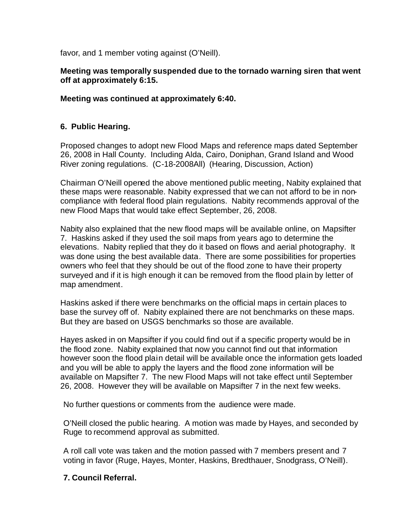favor, and 1 member voting against (O'Neill).

#### **Meeting was temporally suspended due to the tornado warning siren that went off at approximately 6:15.**

#### **Meeting was continued at approximately 6:40.**

#### **6. Public Hearing.**

Proposed changes to adopt new Flood Maps and reference maps dated September 26, 2008 in Hall County. Including Alda, Cairo, Doniphan, Grand Island and Wood River zoning regulations. (C-18-2008All) (Hearing, Discussion, Action)

Chairman O'Neill opened the above mentioned public meeting, Nabity explained that these maps were reasonable. Nabity expressed that we can not afford to be in noncompliance with federal flood plain regulations. Nabity recommends approval of the new Flood Maps that would take effect September, 26, 2008.

Nabity also explained that the new flood maps will be available online, on Mapsifter 7. Haskins asked if they used the soil maps from years ago to determine the elevations. Nabity replied that they do it based on flows and aerial photography. It was done using the best available data. There are some possibilities for properties owners who feel that they should be out of the flood zone to have their property surveyed and if it is high enough it can be removed from the flood plain by letter of map amendment.

Haskins asked if there were benchmarks on the official maps in certain places to base the survey off of. Nabity explained there are not benchmarks on these maps. But they are based on USGS benchmarks so those are available.

Hayes asked in on Mapsifter if you could find out if a specific property would be in the flood zone. Nabity explained that now you cannot find out that information however soon the flood plain detail will be available once the information gets loaded and you will be able to apply the layers and the flood zone information will be available on Mapsifter 7. The new Flood Maps will not take effect until September 26, 2008. However they will be available on Mapsifter 7 in the next few weeks.

No further questions or comments from the audience were made.

O'Neill closed the public hearing. A motion was made by Hayes, and seconded by Ruge to recommend approval as submitted.

A roll call vote was taken and the motion passed with 7 members present and 7 voting in favor (Ruge, Hayes, Monter, Haskins, Bredthauer, Snodgrass, O'Neill).

#### **7. Council Referral.**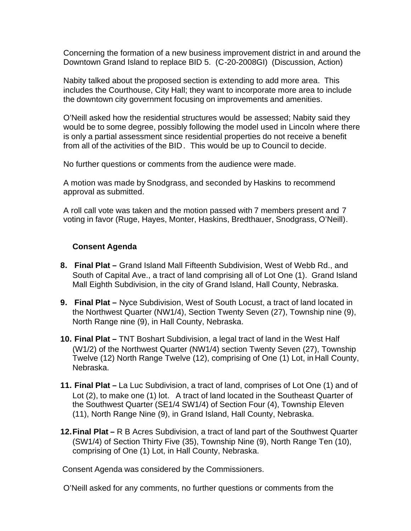Concerning the formation of a new business improvement district in and around the Downtown Grand Island to replace BID 5. (C-20-2008GI) (Discussion, Action)

Nabity talked about the proposed section is extending to add more area. This includes the Courthouse, City Hall; they want to incorporate more area to include the downtown city government focusing on improvements and amenities.

O'Neill asked how the residential structures would be assessed; Nabity said they would be to some degree, possibly following the model used in Lincoln where there is only a partial assessment since residential properties do not receive a benefit from all of the activities of the BID. This would be up to Council to decide.

No further questions or comments from the audience were made.

A motion was made by Snodgrass, and seconded by Haskins to recommend approval as submitted.

A roll call vote was taken and the motion passed with 7 members present and 7 voting in favor (Ruge, Hayes, Monter, Haskins, Bredthauer, Snodgrass, O'Neill).

#### **Consent Agenda**

- **8. Final Plat –** Grand Island Mall Fifteenth Subdivision, West of Webb Rd., and South of Capital Ave., a tract of land comprising all of Lot One (1). Grand Island Mall Eighth Subdivision, in the city of Grand Island, Hall County, Nebraska.
- **9. Final Plat –** Nyce Subdivision, West of South Locust, a tract of land located in the Northwest Quarter (NW1/4), Section Twenty Seven (27), Township nine (9), North Range nine (9), in Hall County, Nebraska.
- **10. Final Plat –** TNT Boshart Subdivision, a legal tract of land in the West Half (W1/2) of the Northwest Quarter (NW1/4) section Twenty Seven (27), Township Twelve (12) North Range Twelve (12), comprising of One (1) Lot, in Hall County, Nebraska.
- **11. Final Plat –** La Luc Subdivision, a tract of land, comprises of Lot One (1) and of Lot (2), to make one (1) lot. A tract of land located in the Southeast Quarter of the Southwest Quarter (SE1/4 SW1/4) of Section Four (4), Township Eleven (11), North Range Nine (9), in Grand Island, Hall County, Nebraska.
- **12.Final Plat –** R B Acres Subdivision, a tract of land part of the Southwest Quarter (SW1/4) of Section Thirty Five (35), Township Nine (9), North Range Ten (10), comprising of One (1) Lot, in Hall County, Nebraska.

Consent Agenda was considered by the Commissioners.

O'Neill asked for any comments, no further questions or comments from the